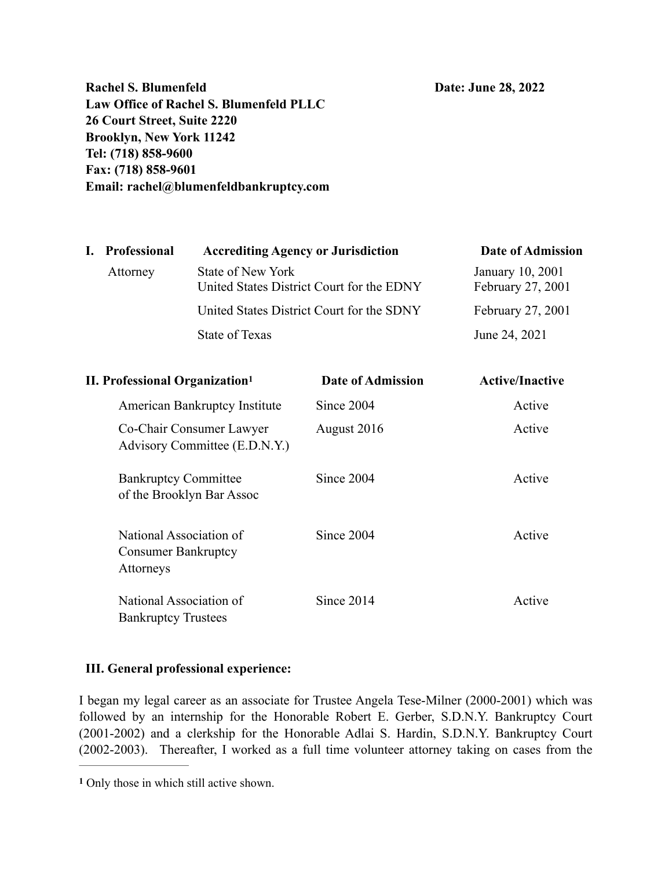**Rachel S. Blumenfeld Date: June 28, 2022 Law Office of Rachel S. Blumenfeld PLLC 26 Court Street, Suite 2220 Brooklyn, New York 11242 Tel: (718) 858-9600 Fax: (718) 858-9601 Email: rachel@blumenfeldbankruptcy.com** 

|          | <b>Accrediting Agency or Jurisdiction</b>                      | Date of Admission                     |
|----------|----------------------------------------------------------------|---------------------------------------|
| Attorney | State of New York<br>United States District Court for the EDNY | January 10, 2001<br>February 27, 2001 |
|          | United States District Court for the SDNY                      | February 27, 2001                     |
|          | <b>State of Texas</b>                                          | June 24, 2021                         |
|          | I. Professional                                                |                                       |

<span id="page-0-1"></span>

| <b>II. Professional Organization</b> <sup>1</sup>                  | <b>Date of Admission</b> | <b>Active/Inactive</b> |
|--------------------------------------------------------------------|--------------------------|------------------------|
| American Bankruptcy Institute                                      | Since 2004               | Active                 |
| Co-Chair Consumer Lawyer<br>Advisory Committee (E.D.N.Y.)          | August 2016              | Active                 |
| <b>Bankruptcy Committee</b><br>of the Brooklyn Bar Assoc           | Since 2004               | Active                 |
| National Association of<br><b>Consumer Bankruptcy</b><br>Attorneys | Since 2004               | Active                 |
| National Association of<br><b>Bankruptcy Trustees</b>              | Since 2014               | Active                 |

#### **III. General professional experience:**

I began my legal career as an associate for Trustee Angela Tese-Milner (2000-2001) which was followed by an internship for the Honorable Robert E. Gerber, S.D.N.Y. Bankruptcy Court (2001-2002) and a clerkship for the Honorable Adlai S. Hardin, S.D.N.Y. Bankruptcy Court (2002-2003). Thereafter, I worked as a full time volunteer attorney taking on cases from the

<span id="page-0-0"></span>Only those in which still active shown. **[1](#page-0-1)**